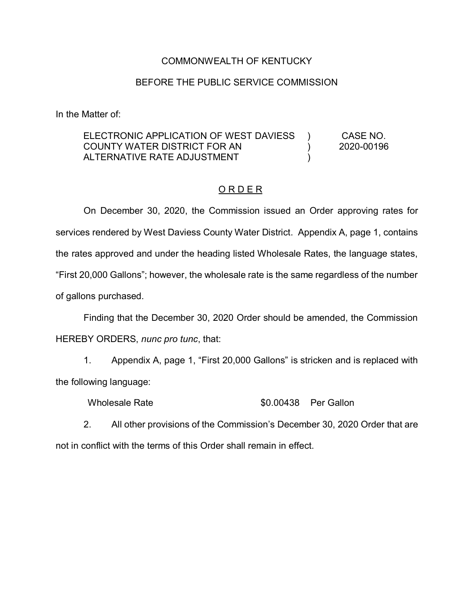## COMMONWEALTH OF KENTUCKY

## BEFORE THE PUBLIC SERVICE COMMISSION

In the Matter of:

## ELECTRONIC APPLICATION OF WEST DAVIESS COUNTY WATER DISTRICT FOR AN ALTERNATIVE RATE ADJUSTMENT  $\lambda$ )  $\lambda$ CASE NO. 2020-00196

## O R D E R

On December 30, 2020, the Commission issued an Order approving rates for services rendered by West Daviess County Water District. Appendix A, page 1, contains the rates approved and under the heading listed Wholesale Rates, the language states, "First 20,000 Gallons"; however, the wholesale rate is the same regardless of the number of gallons purchased.

Finding that the December 30, 2020 Order should be amended, the Commission HEREBY ORDERS, *nunc pro tunc*, that:

1. Appendix A, page 1, "First 20,000 Gallons" is stricken and is replaced with the following language:

Wholesale Rate  $$0.00438$  Per Gallon

2. All other provisions of the Commission's December 30, 2020 Order that are not in conflict with the terms of this Order shall remain in effect.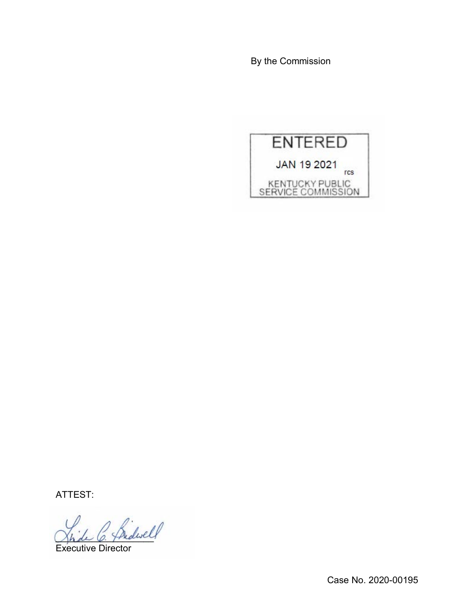By the Commission



ATTEST:

\_\_\_\_\_\_\_\_\_\_\_\_\_\_\_\_\_\_\_

Executive Director

Case No. 2020-00195